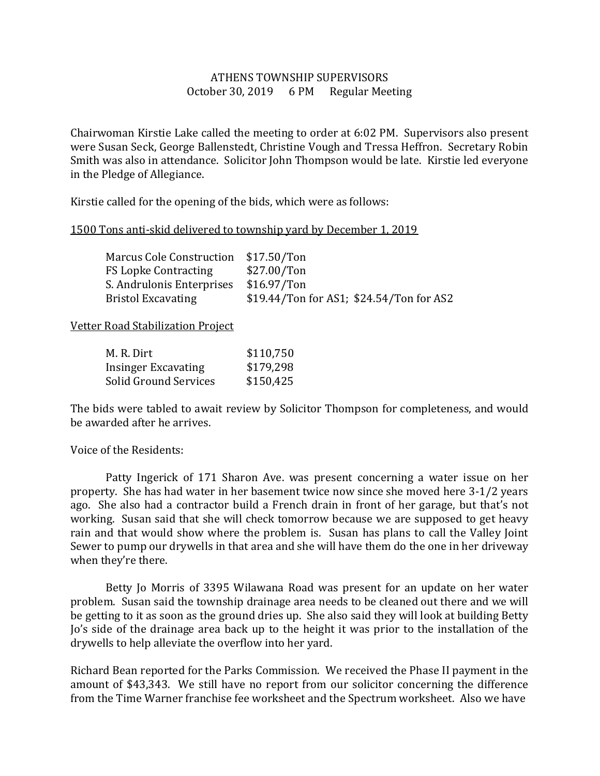## ATHENS TOWNSHIP SUPERVISORS October 30, 2019 6 PM Regular Meeting

Chairwoman Kirstie Lake called the meeting to order at 6:02 PM. Supervisors also present were Susan Seck, George Ballenstedt, Christine Vough and Tressa Heffron. Secretary Robin Smith was also in attendance. Solicitor John Thompson would be late. Kirstie led everyone in the Pledge of Allegiance.

Kirstie called for the opening of the bids, which were as follows:

## 1500 Tons anti-skid delivered to township yard by December 1, 2019

| Marcus Cole Construction \$17.50/Ton |                                          |
|--------------------------------------|------------------------------------------|
| <b>FS Lopke Contracting</b>          | \$27.00/Ton                              |
| S. Andrulonis Enterprises            | $$16.97/T$ on                            |
| <b>Bristol Excavating</b>            | \$19.44/Ton for AS1; \$24.54/Ton for AS2 |

## Vetter Road Stabilization Project

| M. R. Dirt            | \$110,750 |
|-----------------------|-----------|
| Insinger Excavating   | \$179,298 |
| Solid Ground Services | \$150,425 |

The bids were tabled to await review by Solicitor Thompson for completeness, and would be awarded after he arrives.

## Voice of the Residents:

 Patty Ingerick of 171 Sharon Ave. was present concerning a water issue on her property. She has had water in her basement twice now since she moved here 3-1/2 years ago. She also had a contractor build a French drain in front of her garage, but that's not working. Susan said that she will check tomorrow because we are supposed to get heavy rain and that would show where the problem is. Susan has plans to call the Valley Joint Sewer to pump our drywells in that area and she will have them do the one in her driveway when they're there.

 Betty Jo Morris of 3395 Wilawana Road was present for an update on her water problem. Susan said the township drainage area needs to be cleaned out there and we will be getting to it as soon as the ground dries up. She also said they will look at building Betty Jo's side of the drainage area back up to the height it was prior to the installation of the drywells to help alleviate the overflow into her yard.

Richard Bean reported for the Parks Commission. We received the Phase II payment in the amount of \$43,343. We still have no report from our solicitor concerning the difference from the Time Warner franchise fee worksheet and the Spectrum worksheet. Also we have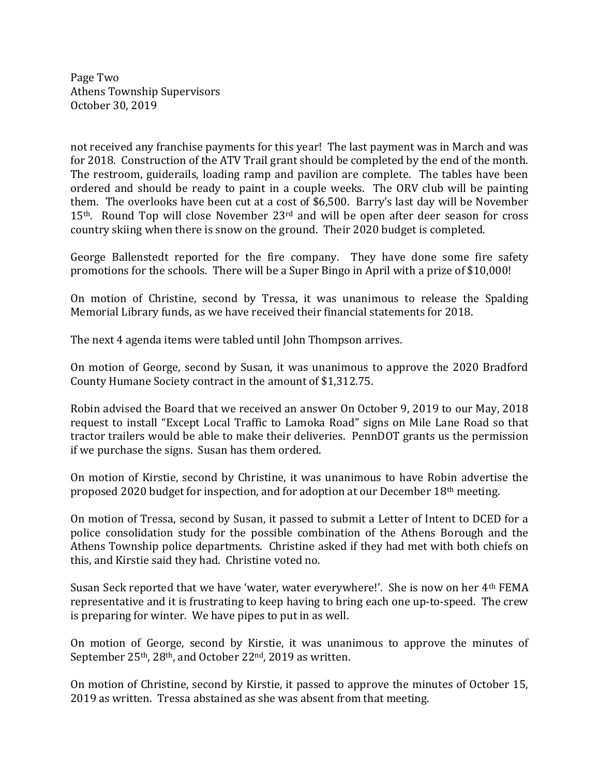Page Two Athens Township Supervisors October 30, 2019

not received any franchise payments for this year! The last payment was in March and was for 2018. Construction of the ATV Trail grant should be completed by the end of the month. The restroom, guiderails, loading ramp and pavilion are complete. The tables have been ordered and should be ready to paint in a couple weeks. The ORV club will be painting them. The overlooks have been cut at a cost of \$6,500. Barry's last day will be November 15<sup>th</sup>. Round Top will close November 23<sup>rd</sup> and will be open after deer season for cross country skiing when there is snow on the ground. Their 2020 budget is completed.

George Ballenstedt reported for the fire company. They have done some fire safety promotions for the schools. There will be a Super Bingo in April with a prize of \$10,000!

On motion of Christine, second by Tressa, it was unanimous to release the Spalding Memorial Library funds, as we have received their financial statements for 2018.

The next 4 agenda items were tabled until John Thompson arrives.

On motion of George, second by Susan, it was unanimous to approve the 2020 Bradford County Humane Society contract in the amount of \$1,312.75.

Robin advised the Board that we received an answer On October 9, 2019 to our May, 2018 request to install "Except Local Traffic to Lamoka Road" signs on Mile Lane Road so that tractor trailers would be able to make their deliveries. PennDOT grants us the permission if we purchase the signs. Susan has them ordered.

On motion of Kirstie, second by Christine, it was unanimous to have Robin advertise the proposed 2020 budget for inspection, and for adoption at our December 18th meeting.

On motion of Tressa, second by Susan, it passed to submit a Letter of Intent to DCED for a police consolidation study for the possible combination of the Athens Borough and the Athens Township police departments. Christine asked if they had met with both chiefs on this, and Kirstie said they had. Christine voted no.

Susan Seck reported that we have 'water, water everywhere!'. She is now on her 4th FEMA representative and it is frustrating to keep having to bring each one up-to-speed. The crew is preparing for winter. We have pipes to put in as well.

On motion of George, second by Kirstie, it was unanimous to approve the minutes of September 25<sup>th</sup>, 28<sup>th</sup>, and October 22<sup>nd</sup>, 2019 as written.

On motion of Christine, second by Kirstie, it passed to approve the minutes of October 15, 2019 as written. Tressa abstained as she was absent from that meeting.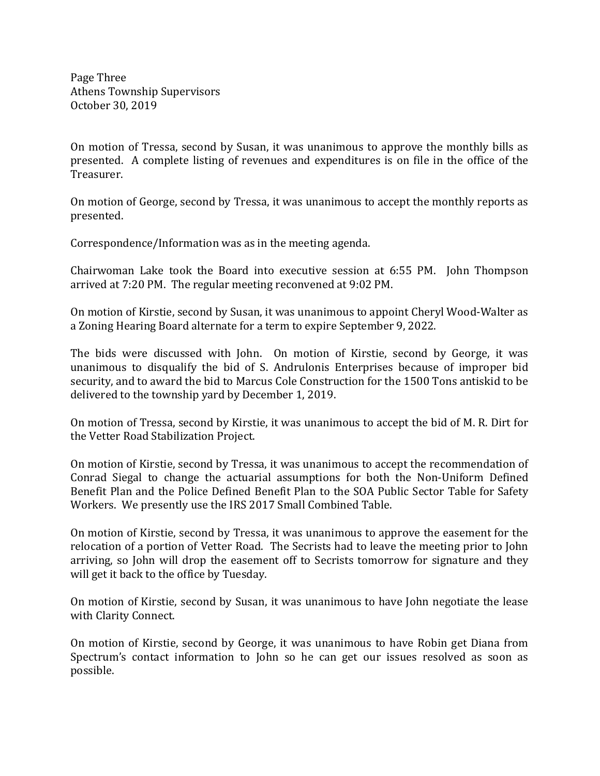Page Three Athens Township Supervisors October 30, 2019

On motion of Tressa, second by Susan, it was unanimous to approve the monthly bills as presented. A complete listing of revenues and expenditures is on file in the office of the Treasurer.

On motion of George, second by Tressa, it was unanimous to accept the monthly reports as presented.

Correspondence/Information was as in the meeting agenda.

Chairwoman Lake took the Board into executive session at 6:55 PM. John Thompson arrived at 7:20 PM. The regular meeting reconvened at 9:02 PM.

On motion of Kirstie, second by Susan, it was unanimous to appoint Cheryl Wood-Walter as a Zoning Hearing Board alternate for a term to expire September 9, 2022.

The bids were discussed with John. On motion of Kirstie, second by George, it was unanimous to disqualify the bid of S. Andrulonis Enterprises because of improper bid security, and to award the bid to Marcus Cole Construction for the 1500 Tons antiskid to be delivered to the township yard by December 1, 2019.

On motion of Tressa, second by Kirstie, it was unanimous to accept the bid of M. R. Dirt for the Vetter Road Stabilization Project.

On motion of Kirstie, second by Tressa, it was unanimous to accept the recommendation of Conrad Siegal to change the actuarial assumptions for both the Non-Uniform Defined Benefit Plan and the Police Defined Benefit Plan to the SOA Public Sector Table for Safety Workers. We presently use the IRS 2017 Small Combined Table.

On motion of Kirstie, second by Tressa, it was unanimous to approve the easement for the relocation of a portion of Vetter Road. The Secrists had to leave the meeting prior to John arriving, so John will drop the easement off to Secrists tomorrow for signature and they will get it back to the office by Tuesday.

On motion of Kirstie, second by Susan, it was unanimous to have John negotiate the lease with Clarity Connect.

On motion of Kirstie, second by George, it was unanimous to have Robin get Diana from Spectrum's contact information to John so he can get our issues resolved as soon as possible.